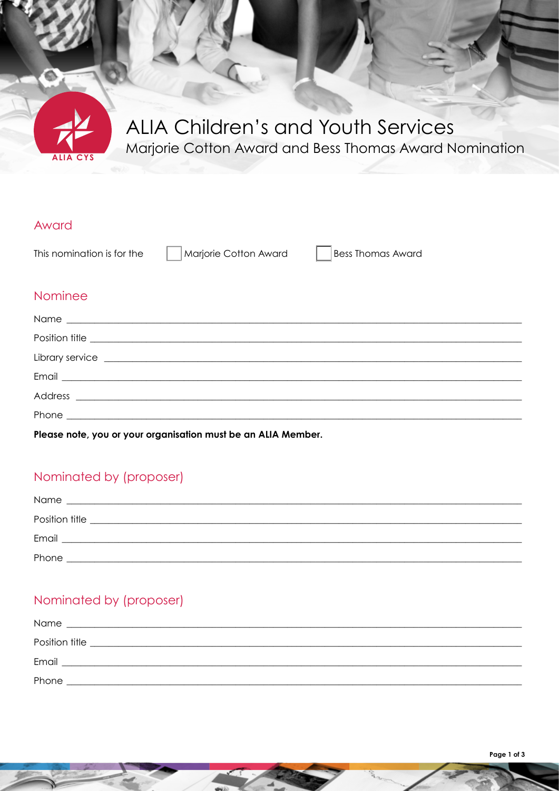

# ALIA Children's and Youth Services Marjorie Cotton Award and Bess Thomas Award Nomination

#### Award

This nomination is for the

Marjorie Cotton Award

**Bess Thomas Award** 

#### Nominee

| Position title <u>example and the set of the set of the set of the set of the set of the set of the set of the set of the set of the set of the set of the set of the set of the set of the set of the set of the set of the set</u> |  |
|--------------------------------------------------------------------------------------------------------------------------------------------------------------------------------------------------------------------------------------|--|
| Library service Latin and the contract of the contract of the contract of the contract of the contract of the contract of the contract of the contract of the contract of the contract of the contract of the contract of the        |  |
|                                                                                                                                                                                                                                      |  |
|                                                                                                                                                                                                                                      |  |
|                                                                                                                                                                                                                                      |  |

Please note, you or your organisation must be an ALIA Member.

## Nominated by (proposer)

| Name           |  |
|----------------|--|
| Position title |  |
| Email          |  |
| Phone          |  |

## Nominated by (proposer)

| Name           |  |
|----------------|--|
| Position title |  |
| Email          |  |
| Phone          |  |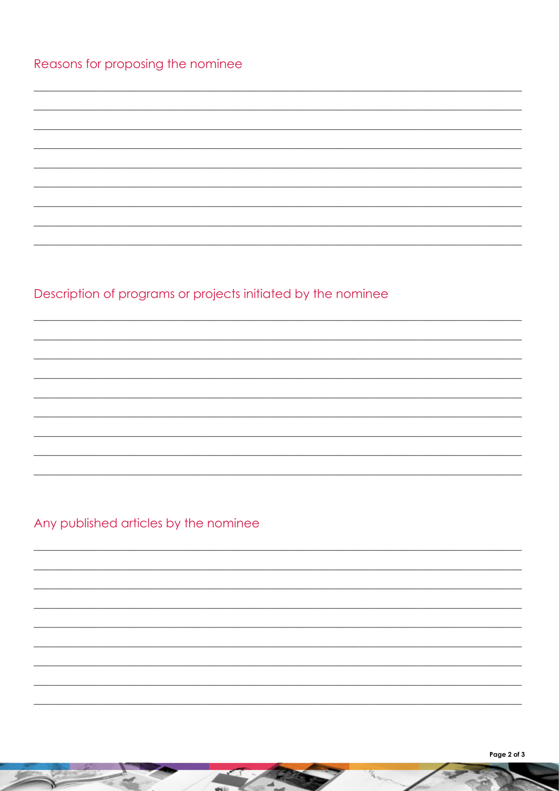# Reasons for proposing the nominee

# Description of programs or projects initiated by the nominee

Any published articles by the nominee